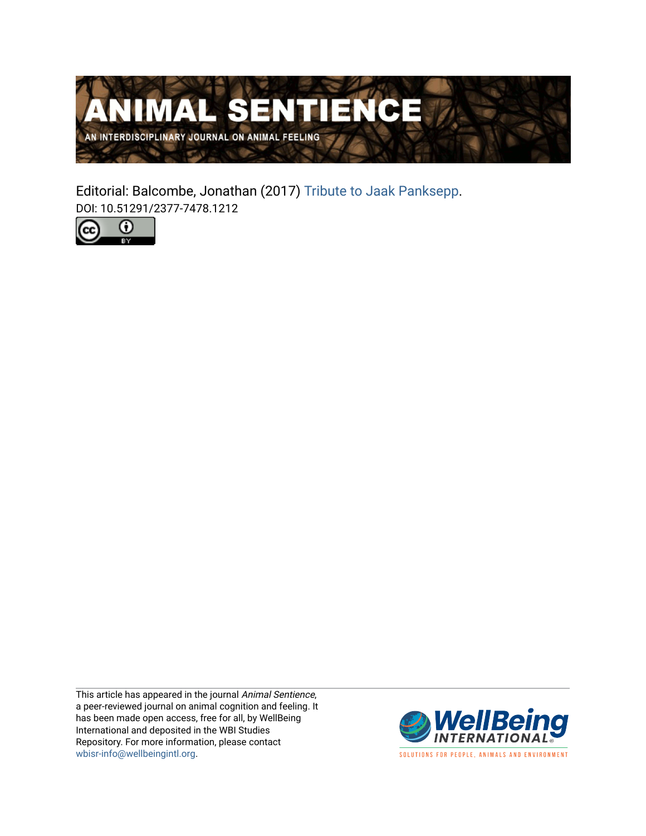

Editorial: Balcombe, Jonathan (2017) [Tribute to Jaak Panksepp](https://www.wellbeingintlstudiesrepository.org/animsent/vol2/iss18/1). DOI: 10.51291/2377-7478.1212



This article has appeared in the journal Animal Sentience, a peer-reviewed journal on animal cognition and feeling. It has been made open access, free for all, by WellBeing International and deposited in the WBI Studies Repository. For more information, please contact [wbisr-info@wellbeingintl.org](mailto:wbisr-info@wellbeingintl.org).



SOLUTIONS FOR PEOPLE, ANIMALS AND ENVIRONMENT